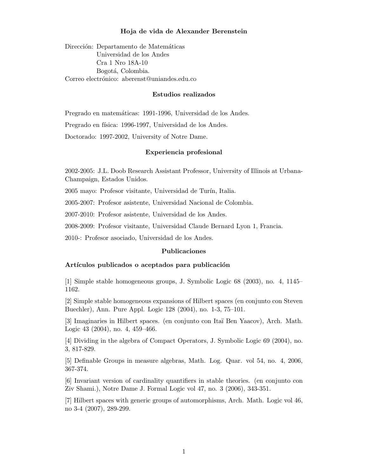#### Hoja de vida de Alexander Berenstein

Dirección: Departamento de Matemáticas Universidad de los Andes Cra 1 Nro 18A-10 Bogotá, Colombia. Correo electrónico: aberenst@uniandes.edu.co

#### Estudios realizados

Pregrado en matemáticas: 1991-1996, Universidad de los Andes.

Pregrado en física: 1996-1997, Universidad de los Andes.

Doctorado: 1997-2002, University of Notre Dame.

### Experiencia profesional

2002-2005: J.L. Doob Research Assistant Professor, University of Illinois at Urbana-Champaign, Estados Unidos.

2005 mayo: Profesor visitante, Universidad de Turín, Italia.

2005-2007: Profesor asistente, Universidad Nacional de Colombia.

2007-2010: Profesor asistente, Universidad de los Andes.

2008-2009: Profesor visitante, Universidad Claude Bernard Lyon 1, Francia.

2010-: Profesor asociado, Universidad de los Andes.

### Publicaciones

### Artículos publicados o aceptados para publicación

[1] Simple stable homogeneous groups, J. Symbolic Logic 68 (2003), no. 4, 1145– 1162.

[2] Simple stable homogeneous expansions of Hilbert spaces (en conjunto con Steven Buechler), Ann. Pure Appl. Logic 128 (2004), no. 1-3, 75–101.

[3] Imaginaries in Hilbert spaces. (en conjunto con Ita¨ı Ben Yaacov), Arch. Math. Logic 43 (2004), no. 4, 459–466.

[4] Dividing in the algebra of Compact Operators, J. Symbolic Logic 69 (2004), no. 3, 817-829.

[5] Definable Groups in measure algebras, Math. Log. Quar. vol 54, no. 4, 2006, 367-374.

[6] Invariant version of cardinality quantifiers in stable theories. (en conjunto con Ziv Shami.), Notre Dame J. Formal Logic vol 47, no. 3 (2006), 343-351.

[7] Hilbert spaces with generic groups of automorphisms, Arch. Math. Logic vol 46, no 3-4 (2007), 289-299.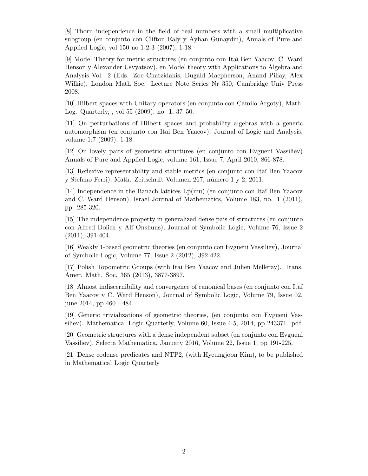[8] Thorn independence in the field of real numbers with a small multiplicative subgroup (en conjunto con Clifton Ealy y Ayhan Gunaydin), Annals of Pure and Applied Logic, vol 150 no 1-2-3 (2007), 1-18.

[9] Model Theory for metric structures (en conjunto con Ita¨ı Ben Yaacov, C. Ward Henson y Alexander Usvyatsov), en Model theory with Applications to Algebra and Analysis Vol. 2 (Eds. Zoe Chatzidakis, Dugald Macpherson, Anand Pillay, Alex Wilkie), London Math Soc. Lecture Note Series Nr 350, Cambridge Univ Press 2008.

[10] Hilbert spaces with Unitary operators (en conjunto con Camilo Argoty), Math. Log. Quarterly, , vol 55 (2009), no. 1, 37–50.

[11] On perturbations of Hilbert spaces and probability algebras with a generic automorphism (en conjunto con Itai Ben Yaacov), Journal of Logic and Analysis, volume 1:7 (2009), 1-18.

[12] On lovely pairs of geometric structures (en conjunto con Evgueni Vassiliev) Annals of Pure and Applied Logic, volume 161, Issue 7, April 2010, 866-878.

[13] Reflexive representability and stable metrics (en conjunto con Ita¨ı Ben Yaacov y Stefano Ferri), Math. Zeitschrift Volumen 267, número 1 y 2, 2011.

[14] Independence in the Banach lattices  $Lp(mu)$  (en conjunto con Itaï Ben Yaacov and C. Ward Henson), Israel Journal of Mathematics, Volume 183, no. 1 (2011), pp. 285-320.

[15] The independence property in generalized dense pais of structures (en conjunto con Alfred Dolich y Alf Onshuus), Journal of Symbolic Logic, Volume 76, Issue 2 (2011), 391-404.

[16] Weakly 1-based geometric theories (en conjunto con Evgueni Vassiliev), Journal of Symbolic Logic, Volume 77, Issue 2 (2012), 392-422.

[17] Polish Topometric Groups (with Itai Ben Yaacov and Julien Melleray). Trans. Amer. Math. Soc. 365 (2013), 3877-3897.

[18] Almost indiscernibility and convergence of canonical bases (en conjunto con Itaï Ben Yaacov y C. Ward Henson), Journal of Symbolic Logic, Volume 79, Issue 02, june 2014, pp 460 - 484.

[19] Generic trivializations of geometric theories, (en conjunto con Evgueni Vassiliev). Mathematical Logic Quarterly, Volume 60, Issue 4-5, 2014, pp 243371. pdf.

[20] Geometric structures with a dense independent subset (en conjunto con Evgueni Vassiliev), Selecta Mathematica, January 2016, Volume 22, Issue 1, pp 191-225.

[21] Dense codense predicates and NTP2, (with Hyeungjoon Kim), to be published in Mathematical Logic Quarterly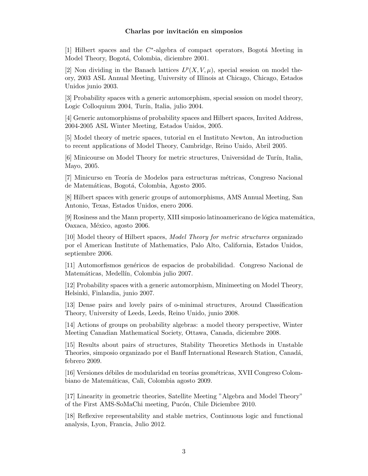# Charlas por invitación en simposios

[1] Hilbert spaces and the  $C^*$ -algebra of compact operators, Bogotá Meeting in Model Theory, Bogotá, Colombia, diciembre 2001.

[2] Non dividing in the Banach lattices  $L^p(X, V, \mu)$ , special session on model theory, 2003 ASL Annual Meeting, University of Illinois at Chicago, Chicago, Estados Unidos junio 2003.

[3] Probability spaces with a generic automorphism, special session on model theory, Logic Colloquium 2004, Turín, Italia, julio 2004.

[4] Generic automorphisms of probability spaces and Hilbert spaces, Invited Address, 2004-2005 ASL Winter Meeting, Estados Unidos, 2005.

[5] Model theory of metric spaces, tutorial en el Instituto Newton, An introduction to recent applications of Model Theory, Cambridge, Reino Unido, Abril 2005.

[6] Minicourse on Model Theory for metric structures, Universidad de Turín, Italia, Mayo, 2005.

[7] Minicurso en Teoría de Modelos para estructuras métricas, Congreso Nacional de Matemáticas, Bogotá, Colombia, Agosto 2005.

[8] Hilbert spaces with generic groups of automorphisms, AMS Annual Meeting, San Antonio, Texas, Estados Unidos, enero 2006.

[9] Rosiness and the Mann property, XIII simposio latinoamericano de lógica matemática, Oaxaca, México, agosto 2006.

[10] Model theory of Hilbert spaces, Model Theory for metric structures organizado por el American Institute of Mathematics, Palo Alto, California, Estados Unidos, septiembre 2006.

[11] Automorfismos gen´ericos de espacios de probabilidad. Congreso Nacional de Matemáticas, Medellín, Colombia julio 2007.

[12] Probability spaces with a generic automorphism, Minimeeting on Model Theory, Helsinki, Finlandia, junio 2007.

[13] Dense pairs and lovely pairs of o-minimal structures, Around Classification Theory, University of Leeds, Leeds, Reino Unido, junio 2008.

[14] Actions of groups on probability algebras: a model theory perspective, Winter Meeting Canadian Mathematical Society, Ottawa, Canada, diciembre 2008.

[15] Results about pairs of structures, Stability Theoretics Methods in Unstable Theories, simposio organizado por el Banff International Research Station, Canad´a, febrero 2009.

[16] Versiones débiles de modularidad en teorías geométricas, XVII Congreso Colombiano de Matem´aticas, Cali, Colombia agosto 2009.

[17] Linearity in geometric theories, Satellite Meeting "Algebra and Model Theory" of the First AMS-SoMaChi meeting, Pucón, Chile Diciembre 2010.

[18] Reflexive representability and stable metrics, Continuous logic and functional analysis, Lyon, Francia, Julio 2012.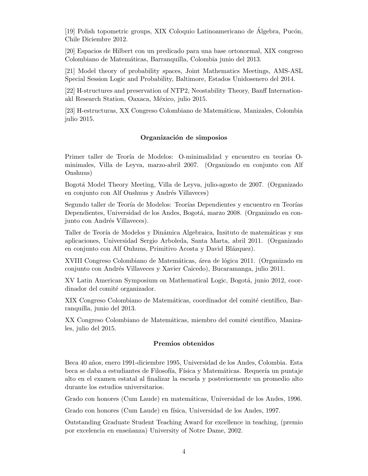[19] Polish topometric groups, XIX Coloquio Latinoamericano de Álgebra, Pucón, Chile Diciembre 2012.

[20] Espacios de Hilbert con un predicado para una base ortonormal, XIX congreso Colombiano de Matemáticas, Barranquilla, Colombia junio del 2013.

[21] Model theory of probability spaces, Joint Mathematics Meetings, AMS-ASL Special Session Logic and Probability, Baltimore, Estados Unidosenero del 2014.

[22] H-structures and preservation of NTP2, Neostability Theory, Banff Internationakl Research Station, Oaxaca, México, julio 2015.

[23] H-estructuras, XX Congreso Colombiano de Matem´aticas, Manizales, Colombia julio 2015.

#### Organización de simposios

Primer taller de Teoría de Modelos: O-minimalidad y encuentro en teorías Ominimales, Villa de Leyva, marzo-abril 2007. (Organizado en conjunto con Alf Onshuus)

Bogot´a Model Theory Meeting, Villa de Leyva, julio-agosto de 2007. (Organizado en conjunto con Alf Onshuus y Andrés Villaveces)

Segundo taller de Teoría de Modelos: Teorías Dependientes y encuentro en Teorías Dependientes, Universidad de los Andes, Bogotá, marzo 2008. (Organizado en conjunto con Andrés Villaveces).

Taller de Teoría de Modelos y Dinámica Algebraica, Insituto de matemáticas y sus aplicaciones, Universidad Sergio Arboleda, Santa Marta, abril 2011. (Organizado en conjunto con Alf Onhuus, Primitivo Acosta y David Blázquez).

XVIII Congreso Colombiano de Matemáticas, área de lógica 2011. (Organizado en conjunto con Andr´es Villaveces y Xavier Caicedo), Bucaramanga, julio 2011.

XV Latin American Symposium on Mathematical Logic, Bogotá, junio 2012, coordinador del comité organizador.

XIX Congreso Colombiano de Matemáticas, coordinador del comité científico, Barranquilla, junio del 2013.

XX Congreso Colombiano de Matemáticas, miembro del comité científico, Manizales, julio del 2015.

# Premios obtenidos

Beca 40 a˜nos, enero 1991-diciembre 1995, Universidad de los Andes, Colombia. Esta beca se daba a estudiantes de Filosofía, Física y Matemáticas. Requería un puntaje alto en el examen estatal al finalizar la escuela y posteriormente un promedio alto durante los estudios universitarios.

Grado con honores (Cum Laude) en matemáticas, Universidad de los Andes, 1996.

Grado con honores (Cum Laude) en física, Universidad de los Andes, 1997.

Outstanding Graduate Student Teaching Award for excellence in teaching, (premio por excelencia en enseñanza) University of Notre Dame, 2002.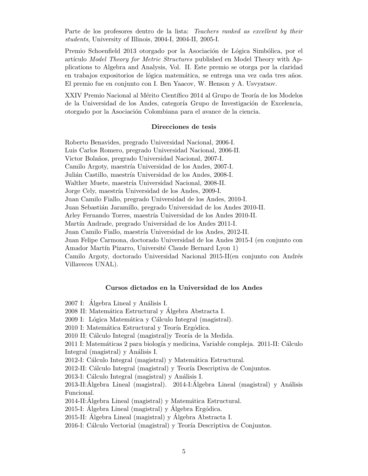Parte de los profesores dentro de la lista: Teachers ranked as excellent by their students, University of Illinois, 2004-I, 2004-II, 2005-I.

Premio Schoenfield 2013 otorgado por la Asociación de Lógica Simbólica, por el artículo Model Theory for Metric Structures published en Model Theory with Applications to Algebra and Analysis, Vol. II. Este premio se otorga por la claridad en trabajos expositorios de lógica matemática, se entrega una vez cada tres años. El premio fue en conjunto con I. Ben Yaacov, W. Henson y A. Usvyatsov.

XXIV Premio Nacional al Mérito Científico 2014 al Grupo de Teoría de los Modelos de la Universidad de los Andes, categoría Grupo de Investigación de Excelencia, otorgado por la Asociación Colombiana para el avance de la ciencia.

#### Direcciones de tesis

Roberto Benavides, pregrado Universidad Nacional, 2006-I. Luis Carlos Romero, pregrado Universidad Nacional, 2006-II. Victor Bolaños, pregrado Universidad Nacional, 2007-I. Camilo Argoty, maestría Universidad de los Andes, 2007-I. Julián Castillo, maestría Universidad de los Andes, 2008-I. Walther Muete, maestría Universidad Nacional, 2008-II. Jorge Cely, maestría Universidad de los Andes, 2009-I. Juan Camilo Fiallo, pregrado Universidad de los Andes, 2010-I. Juan Sebastián Jaramillo, pregrado Universidad de los Andes 2010-II. Arley Fernando Torres, maestría Universidad de los Andes 2010-II. Martín Andrade, pregrado Universidad de los Andes 2011-I. Juan Camilo Fiallo, maestría Universidad de los Andes, 2012-II. Juan Felipe Carmona, doctorado Universidad de los Andes 2015-I (en conjunto con Amador Martín Pizarro, Université Claude Bernard Lyon 1) Camilo Argoty, doctorado Universidad Nacional 2015-II(en conjunto con Andrés Villaveces UNAL).

#### Cursos dictados en la Universidad de los Andes

2007 I: Algebra Lineal y Análisis I.

2008 II: Matemática Estructural y Álgebra Abstracta I.

2009 I: Lógica Matemática y Cálculo Integral (magistral).

- 2010 I: Matemática Estructural y Teoría Ergódica.
- 2010 II: Cálculo Integral (magistral) y Teoría de la Medida.

2011 I: Matemáticas 2 para biología y medicina, Variable compleja. 2011-II: Cálculo Integral (magistral) y Análisis I.

2012-I: Cálculo Integral (magistral) y Matemática Estructural.

2012-II: Cálculo Integral (magistral) y Teoría Descriptiva de Conjuntos.

2013-I: Cálculo Integral (magistral) y Análisis I.

 $2013$ -II:Álgebra Lineal (magistral).  $2014$ -I:Álgebra Lineal (magistral) y Análisis Funcional.

2014-II: Algebra Lineal (magistral) y Matemática Estructural.

2015-I: Álgebra Lineal (magistral) y Álgebra Ergódica.

2015-II: Algebra Lineal (magistral) y Algebra Abstracta I.

2016-I: Cálculo Vectorial (magistral) y Teoría Descriptiva de Conjuntos.